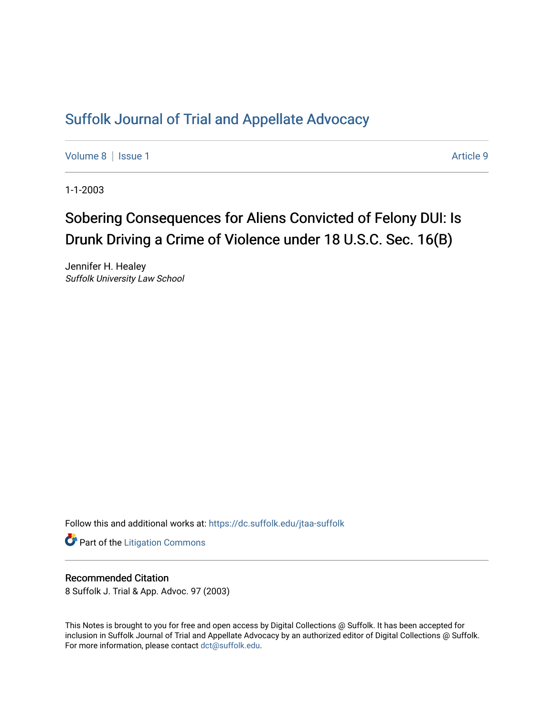# [Suffolk Journal of Trial and Appellate Advocacy](https://dc.suffolk.edu/jtaa-suffolk)

[Volume 8](https://dc.suffolk.edu/jtaa-suffolk/vol8) | [Issue 1](https://dc.suffolk.edu/jtaa-suffolk/vol8/iss1) Article 9

1-1-2003

# Sobering Consequences for Aliens Convicted of Felony DUI: Is Drunk Driving a Crime of Violence under 18 U.S.C. Sec. 16(B)

Jennifer H. Healey Suffolk University Law School

Follow this and additional works at: [https://dc.suffolk.edu/jtaa-suffolk](https://dc.suffolk.edu/jtaa-suffolk?utm_source=dc.suffolk.edu%2Fjtaa-suffolk%2Fvol8%2Fiss1%2F9&utm_medium=PDF&utm_campaign=PDFCoverPages) 

**Part of the [Litigation Commons](https://network.bepress.com/hgg/discipline/910?utm_source=dc.suffolk.edu%2Fjtaa-suffolk%2Fvol8%2Fiss1%2F9&utm_medium=PDF&utm_campaign=PDFCoverPages)** 

# Recommended Citation

8 Suffolk J. Trial & App. Advoc. 97 (2003)

This Notes is brought to you for free and open access by Digital Collections @ Suffolk. It has been accepted for inclusion in Suffolk Journal of Trial and Appellate Advocacy by an authorized editor of Digital Collections @ Suffolk. For more information, please contact [dct@suffolk.edu](mailto:dct@suffolk.edu).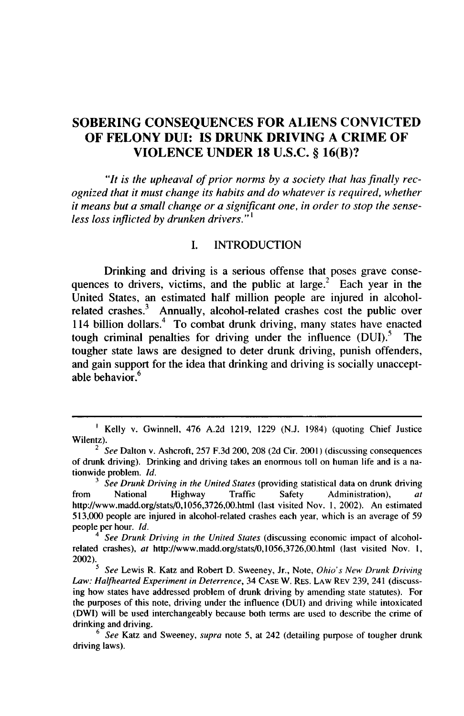# **SOBERING CONSEQUENCES FOR ALIENS CONVICTED OF FELONY DUI: IS DRUNK DRIVING A CRIME OF VIOLENCE UNDER 18 U.S.C. § 16(B)?**

*"It is the* upheaval of *prior norms by a society that has finally recognized that it must change its habits and do whatever is required, whether it means but a small change or a significant one, in order to stop the senseless loss inflicted by drunken drivers."'*

#### **I. INTRODUCTION**

Drinking and driving is a serious offense that poses grave consequences to drivers, victims, and the public at large.<sup>2</sup> Each year in the United States, an estimated half million people are injured in alcoholrelated crashes.<sup>3</sup> Annually, alcohol-related crashes cost the public over 114 billion dollars.4 To combat drunk driving, many states have enacted tough criminal penalties for driving under the influence **(DUI).'** The tougher state laws are designed to deter drunk driving, punish offenders, and gain support for the idea that drinking and driving is socially unacceptable behavior.<sup>6</sup>

**<sup>1</sup>** Kelly v. Gwinnell, 476 A.2d 1219, 1229 (N.J. 1984) (quoting Chief Justice Wilentz).

<sup>2</sup> See Dalton v. Ashcroft, 257 F.3d 200, **208 (2d** Cir. 2001) (discussing consequences of drunk driving). Drinking and driving takes an enormous toll on human life and is a nationwide problem. Id.

<sup>&</sup>lt;sup>3</sup> See Drunk Driving in the United States (providing statistical data on drunk driving from National Highway Traffic Safety Administration), *at* http://www.madd.org/stats/0,1056,3726,00.html (last visited Nov. 1, 2002). An estimated 513,000 people are injured in alcohol-related crashes each year, which is an average of 59 people per hour. *Id.*

See Drunk Driving in the United States (discussing economic impact of alcoholrelated crashes), at http://www.madd.org/stats/0,1056,3726,00.html (last visited Nov. 1,  $2002$ <sub>2</sub>

*<sup>5</sup>* See Lewis R. Katz and Robert D. Sweeney, Jr., Note, Ohio's New Drunk Driving *Law: Halfhearted Experiment in Deterrence,* 34 **CASE** W. RES. LAW REV 239, 241 (discussing how states have addressed problem of drunk driving by amending state statutes). For the purposes of this note, driving under the influence (DUI) and driving while intoxicated (DWI) will be used interchangeably because both terms are used to describe the crime of drinking and driving.

<sup>6</sup>*See* Katz and Sweeney, *supra* note 5, at 242 (detailing purpose of tougher drunk driving laws).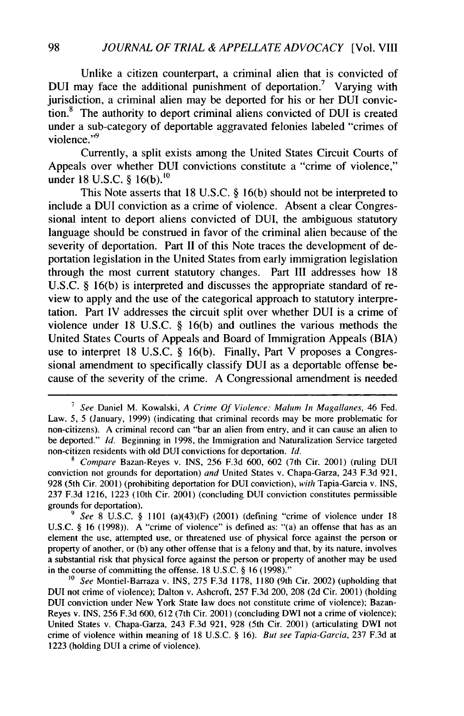Unlike a citizen counterpart, a criminal alien that is convicted of DUI may face the additional punishment of deportation.<sup>7</sup> Varying with jurisdiction, a criminal alien may be deported for his or her **DUI** conviction.<sup>8</sup> The authority to deport criminal aliens convicted of DUI is created under a sub-category of deportable aggravated felonies labeled "crimes of violence." $\mathcal{P}$ 

Currently, a split exists among the United States Circuit Courts of Appeals over whether DUI convictions constitute a "crime of violence," under 18 U.S.C.  $§$  16(b).<sup>10</sup>

This Note asserts that 18 U.S.C. § 16(b) should not be interpreted to include a DUI conviction as a crime of violence. Absent a clear Congressional intent to deport aliens convicted of DUI, the ambiguous statutory language should be construed in favor of the criminal alien because of the severity of deportation. Part II of this Note traces the development of deportation legislation in the United States from early immigration legislation through the most current statutory changes. Part III addresses how 18 U.S.C. § 16(b) is interpreted and discusses the appropriate standard of review to apply and the use of the categorical approach to statutory interpretation. Part IV addresses the circuit split over whether DUI is a crime of violence under 18 U.S.C. § 16(b) and outlines the various methods the United States Courts of Appeals and Board of Immigration Appeals (BIA) use to interpret 18 U.S.C. § 16(b). Finally, Part V proposes a Congressional amendment to specifically classify DUI as a deportable offense because of the severity of the crime. A Congressional amendment is needed

**<sup>7</sup>***See* Daniel M. Kowalski, *A Crime Of Violence: Malum In Magallanes,* 46 Fed. Law. 5, 5 (January, 1999) (indicating that criminal records may be more problematic for non-citizens). A criminal record can "bar an alien from entry, and it can cause an alien to be deported." *Id.* Beginning in 1998, the Immigration and Naturalization Service targeted non-citizen residents with old DUI convictions for deportation. *Id.*

<sup>8</sup>*Compare* Bazan-Reyes v. INS, 256 F.3d 600, 602 (7th Cir. 2001) (ruling DUI conviction not grounds for deportation) *and* United States v. Chapa-Garza, 243 F.3d 921, 928 (5th Cir. 2001) (prohibiting deportation for DUI conviction), *with* Tapia-Garcia v. INS, 237 F.3d 1216, 1223 (10th Cir. 2001) (concluding DUI conviction constitutes permissible grounds for deportation).

**<sup>9</sup>** *See* 8 U.S.C. § 1101 (a)(43)(F) (2001) (defining "crime of violence under 18 U.S.C. § 16 (1998)). A "crime of violence" is defined as: "(a) an offense that has as an element the use, attempted use, or threatened use of physical force against the person or property of another, or (b) any other offense that is a felony and that, by its nature, involves a substantial risk that physical force against the person or property of another may be used in the course of committing the offense. 18 U.S.C. § **16** (1998)."

*<sup>10</sup> See* Montiel-Barraza v. INS, 275 F.3d 1178, 1180 (9th Cir. 2002) (upholding that DUI not crime of violence); Dalton v. Ashcroft, 257 F.3d 200, 208 (2d Cir. 2001) (holding DUI conviction under New York State law does not constitute crime of violence); Bazan-Reyes v. INS, 256 F.3d 600, 612 (7th Cir. 2001) (concluding DWI not a crime of violence); United States v. Chapa-Garza, 243 F.3d 921, 928 (5th Cir. 2001) (articulating DWI not crime of violence within meaning of 18 U.S.C. § 16). *But see Tapia-Garcia,* 237 F.3d at 1223 (holding DUI a crime of violence).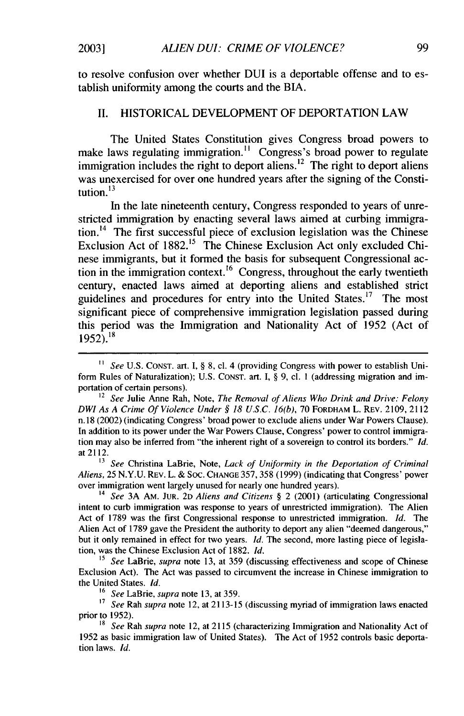to resolve confusion over whether DUI is a deportable offense and to establish uniformity among the courts and the BIA.

#### II. HISTORICAL DEVELOPMENT OF DEPORTATION LAW

The United States Constitution gives Congress broad powers to make laws regulating immigration.<sup>11</sup> Congress's broad power to regulate immigration includes the right to deport aliens.<sup>12</sup> The right to deport aliens was unexercised for over one hundred years after the signing of the Constiwas and<br>tution.<sup>13</sup>

In the late nineteenth century, Congress responded to years of unrestricted immigration by enacting several laws aimed at curbing immigration.<sup>14</sup> The first successful piece of exclusion legislation was the Chinese Exclusion Act of 1882.<sup>15</sup> The Chinese Exclusion Act only excluded Chinese immigrants, but it formed the basis for subsequent Congressional action in the immigration context.<sup>16</sup> Congress, throughout the early twentieth century, enacted laws aimed at deporting aliens and established strict guidelines and procedures for entry into the United States.<sup>17</sup> The most significant piece of comprehensive immigration legislation passed during this period was the Immigration and Nationality Act of 1952 (Act of  $1952$ ).<sup>18</sup>

12 *See* Julie Anne Rah, Note, *The Removal of Aliens Who Drink and Drive: Felony DWI As A Crime Of Violence Under § 18 U.S.C. 16(b),* 70 FORDHAM L. REV. 2109, 2112 n. 18 (2002) (indicating Congress' broad power to exclude aliens under War Powers Clause). In addition to its power under the War Powers Clause, Congress' power to control immigration may also be inferred from "the inherent right of a sovereign to control its borders." *Id.* at 2112.

*13 See* Christina LaBrie, Note, *Lack of Uniformity in the Deportation of Criminal Aliens,* 25 N.Y.U. REV. L. & Soc. CHANGE 357,358 (1999) (indicating that Congress' power over immigration went largely unused for nearly one hundred years).

14 *See* 3A AM. JUR. 2D *Aliens and Citizens §* 2 (2001) (articulating Congressional intent to curb immigration was response to years of unrestricted immigration). The Alien Act of 1789 was the first Congressional response to unrestricted immigration. *Id.* The Alien Act of 1789 gave the President the authority to deport any alien "deemed dangerous," but it only remained in effect for two years. *Id*. The second, more lasting piece of legislation, was the Chinese Exclusion Act of 1882. *Id.*

15 *See* LaBrie, *supra* note 13, at 359 (discussing effectiveness and scope of Chinese Exclusion Act). The Act was passed to circumvent the increase in Chinese immigration to the United States. *Id.*

**16** *See* LaBrie, *supra* note 13, at 359.

*17 See* Rah *supra* note 12, at 2113-15 (discussing myriad of immigration laws enacted prior to 1952).

*18 See* Rah *supra* note 12, at 2115 (characterizing Immigration and Nationality Act of 1952 as basic immigration law of United States). The Act of 1952 controls basic deportation laws. *Id.*

*<sup>&</sup>quot; See* U.S. CONST. art. I, § 8, cl. 4 (providing Congress with power to establish Uniform Rules of Naturalization); U.S. CONST. art. I, § 9, cl. **I** (addressing migration and importation of certain persons).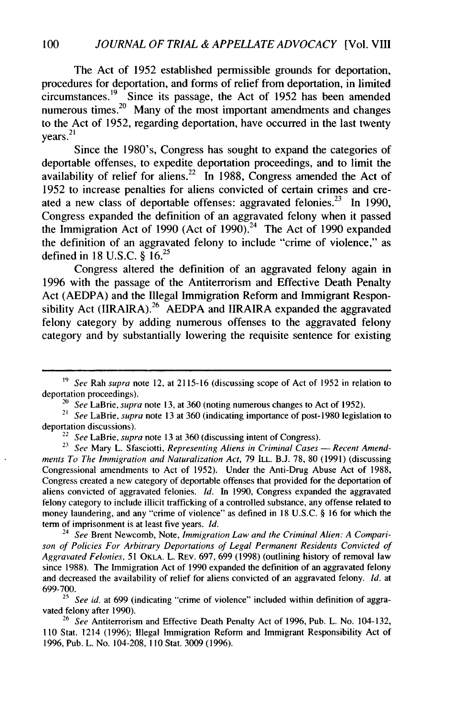The Act of 1952 established permissible grounds for deportation, procedures for deportation, and forms of relief from deportation, in limited circumstances.<sup>19</sup> Since its passage, the Act of 1952 has been amended numerous times.<sup>20</sup> Many of the most important amendments and changes to the Act of 1952, regarding deportation, have occurred in the last twenty  $years.<sup>21</sup>$ 

Since the 1980's, Congress has sought to expand the categories of deportable offenses, to expedite deportation proceedings, and to limit the availability of relief for aliens.<sup>22</sup> In 1988, Congress amended the Act of 1952 to increase penalties for aliens convicted of certain crimes and created a new class of deportable offenses: aggravated felonies.<sup>23</sup> In 1990. Congress expanded the definition of an aggravated felony when it passed the Immigration Act of 1990 (Act of 1990).<sup>24</sup> The Act of 1990 expanded the definition of an aggravated felony to include "crime of violence," as defined in 18 U.S.C. § 16.25

Congress altered the definition of an aggravated felony again in 1996 with the passage of the Antiterrorism and Effective Death Penalty Act (AEDPA) and the Illegal Immigration Reform and Immigrant Responsibility Act (IIRAIRA).<sup>26</sup> AEDPA and IIRAIRA expanded the aggravated felony category by adding numerous offenses to the aggravated felony category and by substantially lowering the requisite sentence for existing

24 *See* Brent Newcomb, Note, *Immigration Law and the Criminal Alien: A Comparison of* Policies For *Arbitrary Deportations of Legal Permanent Residents Convicted of Aggravated Felonies,* 51 OKLA. L. REV. 697, 699 (1998) (outlining history of removal law since 1988). The Immigration Act of 1990 expanded the definition of an aggravated felony and decreased the availability of relief for aliens convicted of an aggravated felony. *Id.* at 699-700.

*25 <i>Zee id.* at 699 (indicating "crime of violence" included within definition of aggravated felony after 1990).

<sup>26</sup>*See* Antiterrorism and Effective Death Penalty Act of 1996, Pub. L. No. 104-132, 110 Stat. 1214 (1996); Illegal Immigration Reform and Immigrant Responsibility Act of 1996, Pub. L. No. 104-208, **110** Stat. 3009 (1996).

**<sup>&</sup>quot;9** *See* Rah *supra* note 12, at 2115-16 (discussing scope of Act of 1952 in relation to deportation proceedings).

number proceedings).<br><sup>20</sup> *See LaBrie, supra* note 13, at 360 (noting numerous changes to Act of 1952).

deportation discussions). <sup>22</sup>*See* LaBrie, *supra* note 13 at 360 (discussing intent of Congress).

<sup>&</sup>lt;sup>23</sup> See Mary L. Sfasciotti, *Representing Aliens in Criminal Cases* - *Recent Amendments To The Immigration and Naturalization Act,* 79 ILL. B.J. 78, 80 (1991) (discussing Congressional amendments to Act of 1952). Under the Anti-Drug Abuse Act of 1988, Congress created a new category of deportable offenses that provided for the deportation of aliens convicted of aggravated felonies. *Id.* In 1990, Congress expanded the aggravated felony category to include illicit trafficking of a controlled substance, any offense related to money laundering, and any "crime of violence" as defined in 18 U.S.C. § 16 for which the term of imprisonment is at least five years. *Id.*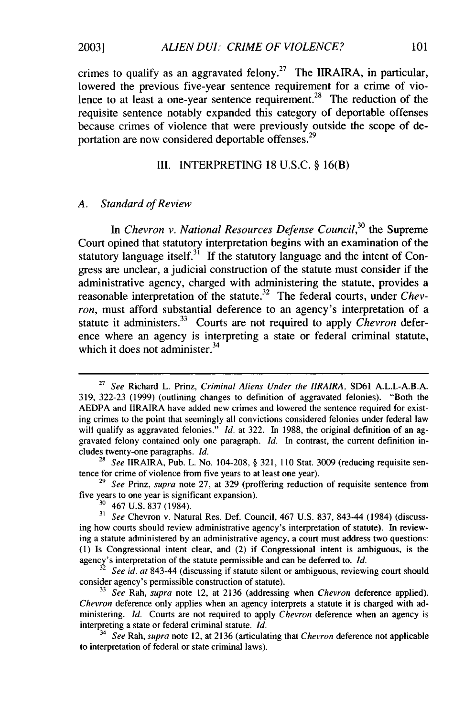crimes to qualify as an aggravated felony.<sup>27</sup> The IIRAIRA, in particular, lowered the previous five-year sentence requirement for a crime of violence to at least a one-year sentence requirement.<sup>28</sup> The reduction of the requisite sentence notably expanded this category of deportable offenses because crimes of violence that were previously outside the scope of deportation are now considered deportable offenses. <sup>29</sup>

#### III. INTERPRETING 18 U.S.C. § 16(B)

#### *A. Standard of Review*

*In Chevron v. National Resources Defense Council,<sup>30</sup>*the Supreme Court opined that statutory interpretation begins with an examination of the statutory language itself.<sup>31</sup> If the statutory language and the intent of Congress are unclear, a judicial construction of the statute must consider if the administrative agency, charged with administering the statute, provides a reasonable interpretation of the statute.<sup>32</sup> The federal courts, under *Chevron,* must afford substantial deference to an agency's interpretation of a statute it administers.<sup>33</sup> Courts are not required to apply *Chevron* deference where an agency is interpreting a state or federal criminal statute, which it does not administer.<sup>34</sup>

28 *See* IIRAIRA, Pub. L. No. 104-208, § 321, 110 Stat. 3009 (reducing requisite sentence for crime of violence from five years to at least one year).

<sup>29</sup>*See* Prinz, *supra* note 27, at 329 (proffering reduction of requisite sentence from five years to one year is significant expansion).

 $30\,$  467 U.S. 837 (1984).

*31 See* Chevron v. Natural Res. Def. Council, 467 U.S. 837, 843-44 (1984) (discussing how courts should review administrative agency's interpretation of statute). In reviewing a statute administered by an administrative agency, a court must address two questions: (1) Is Congressional intent clear, and (2) if Congressional intent is ambiguous, is the agency's interpretation of the statute permissible and can be deferred to. *Id.*

<sup>3</sup>*See id. at* 843-44 (discussing if statute silent or ambiguous, reviewing court should consider agency's permissible construction of statute).

**<sup>33</sup>***See* Rah, supra note 12, at 2136 (addressing when *Chevron* deference applied). Chevron deference only applies when an agency interprets a statute it is charged with administering. *Id.* Courts are not required to apply *Chevron* deference when an agency is interpreting a state or federal criminal statute. *Id.*

<sup>34</sup>*See* Rah, *supra* note 12, at 2136 (articulating that *Chevron* deference not applicable to interpretation of federal or state criminal laws).

<sup>&</sup>lt;sup>27</sup> See Richard L. Prinz, Criminal Aliens Under the IIRAIRA, SD61 A.L.I.-A.B.A. 319, 322-23 (1999) (outlining changes to definition of aggravated felonies). "Both the AEDPA and IIRAIRA have added new crimes and lowered the sentence required for existing crimes to the point that seemingly all convictions considered felonies under federal law will qualify as aggravated felonies." *Id.* at 322. In 1988, the original definition of an aggravated felony contained only one paragraph. *Id.* In contrast, the current definition includes twenty-one paragraphs. *Id.*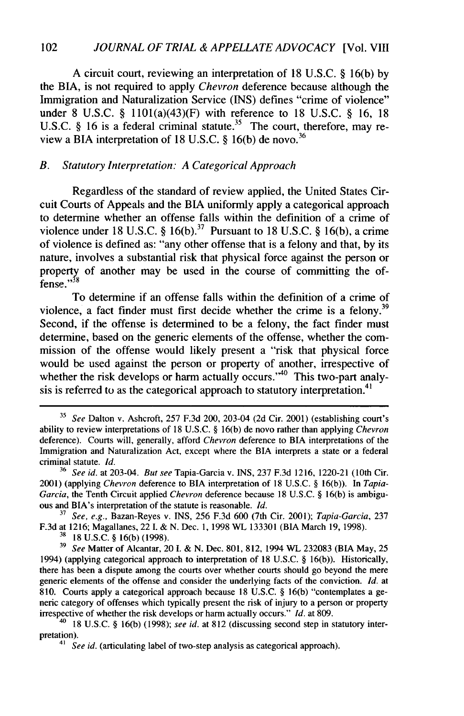#### 102 *JOURNAL OF TRIAL & APPELLATE ADVOCACY* [Vol. VIII

A circuit court, reviewing an interpretation of 18 U.S.C. § 16(b) by the BIA, is not required to apply *Chevron* deference because although the Immigration and Naturalization Service (INS) defines "crime of violence" under 8 U.S.C. § 1101(a)(43)(F) with reference to 18 U.S.C. § 16, 18 U.S.C. § 16 is a federal criminal statute.<sup>35</sup> The court, therefore, may review a BIA interpretation of 18 U.S.C. § 16(b) de novo. <sup>36</sup>

#### *B. Statutory Interpretation: A Categorical Approach*

Regardless of the standard of review applied, the United States Circuit Courts of Appeals and the BIA uniformly apply a categorical approach to determine whether an offense falls within the definition of a crime of violence under 18 U.S.C.  $\frac{8}{3}$  16(b).<sup>37</sup> Pursuant to 18 U.S.C.  $\frac{8}{3}$  16(b), a crime of violence is defined as: "any other offense that is a felony and that, by its nature, involves a substantial risk that physical force against the person or property of another may be used in the course of committing the of $fense.^{38}$ 

To determine if an offense falls within the definition of a crime of violence, a fact finder must first decide whether the crime is a felony.<sup>39</sup> Second, if the offense is determined to be a felony, the fact finder must determine, based on the generic elements of the offense, whether the commission of the offense would likely present a "risk that physical force would be used against the person or property of another, irrespective of whether the risk develops or harm actually occurs.<sup>140</sup> This two-part analysis is referred to as the categorical approach to statutory interpretation.<sup>41</sup>

 $8\,$  18 U.S.C. § 16(b) (1998).

**<sup>35</sup>***See* Dalton v. Ashcroft, 257 F.3d 200, 203-04 (2d Cir. 2001) (establishing court's ability to review interpretations of 18 U.S.C. § 16(b) de novo rather than applying *Chevron* deference). Courts will, generally, afford *Chevron* deference to BIA interpretations of the Immigration and Naturalization Act, except where the BIA interprets a state or a federal criminal statute. *Id.*

<sup>36</sup>*See id.* at 203-04. *But see* Tapia-Garcia v. INS, 237 F.3d 1216, 1220-21 (10th Cir. 2001) (applying *Chevron* deference to BIA interpretation of 18 U.S.C. § 16(b)). In *Tapia-Garcia,* the Tenth Circuit applied *Chevron* deference because 18 U.S.C. § 16(b) is ambiguous and BIA's interpretation of the statute is reasonable. *Id.*

**<sup>37</sup>***See, e.g.,* Bazan-Reyes v. INS, 256 F.3d 600 (7th Cir. 2001); *Tapia-Garcia,* <sup>237</sup> F.3d at 1216; Magallanes, 22 I. & N. Dec. 1, 1998 WL 133301 (BIA March 19, 1998).

**<sup>39</sup>***See* Matter of Alcantar, 20 I. & N. Dec. 801, 812, 1994 WL 232083 (BIA May, 25 1994) (applying categorical approach to interpretation of 18 U.S.C. § 16(b)). Historically, there has been a dispute among the courts over whether courts should go beyond the mere generic elements of the offense and consider the underlying facts of the conviction. *Id.* at **810.** Courts apply a categorical approach because 18 U.S.C. § 16(b) "contemplates a generic category of offenses which typically present the risk of injury to a person or property irrespective of whether the risk develops or harm actually occurs." *Id.* at 809.

<sup>40 18</sup> U.S.C. § 16(b) (1998); *see id.* at 812 (discussing second step in statutory interpretation).

<sup>&</sup>lt;sup>41</sup> *See id.* (articulating label of two-step analysis as categorical approach).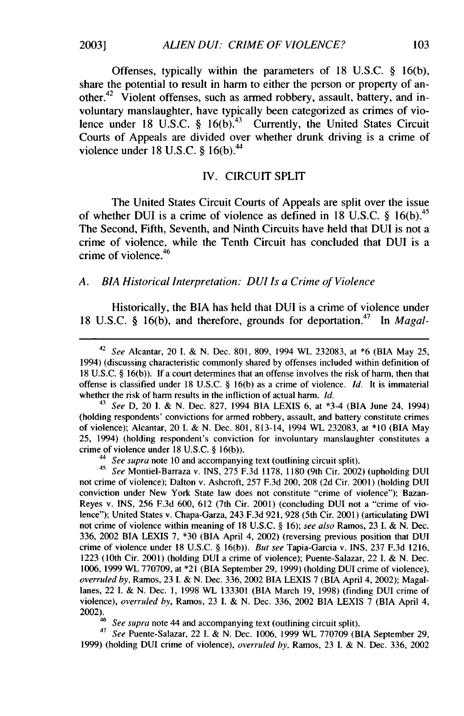Offenses, typically within the parameters of 18 U.S.C. § 16(b), share the potential to result in harm to either the person or property of another.<sup>42</sup> Violent offenses, such as armed robbery, assault, battery, and involuntary manslaughter, have typically been categorized as crimes of violence under 18 U.S.C.  $\frac{1}{9}$  16(b).<sup>43</sup> Currently, the United States Circuit Courts of Appeals are divided over whether drunk driving is a crime of violence under  $18$  U.S.C. §  $16(b)$ .<sup>44</sup>

#### IV. CIRCUIT SPLIT

The United States Circuit Courts of Appeals are split over the issue of whether DUI is a crime of violence as defined in 18 U.S.C. § 16(b).<sup>45</sup> The Second, Fifth, Seventh, and Ninth Circuits have held that DUI is not a crime of violence, while the Tenth Circuit has concluded that DUI is a crime of violence.<sup>46</sup>

*A. BIA Historical Interpretation: DUI Is a Crime of Violence*

Historically, the BIA has held that DUI is a crime of violence under 18 U.S.C. § 16(b), and therefore, grounds for deportation.<sup>47</sup> In *Magal*-

<sup>43</sup>*See* D, 20 I. & N. Dec. 827, 1994 BIA LEXIS 6, at \*3-4 (BIA June 24, 1994) (holding respondents' convictions for armed robbery, assault, and battery constitute crimes of violence); Alcantar, 20 I. & N. Dec. 801, 813-14, 1994 WL 232083, at \*10 (BIA May 25, 1994) (holding respondent's conviction for involuntary manslaughter constitutes a crime of violence under 18 U.S.C. § 16(b)).

*<sup>44</sup>See supra* note 10 and accompanying text (outlining circuit split).

*<sup>45</sup>See* Montiel-Barraza v. INS, 275 F.3d 1178, 1180 (9th Cir. 2002) (upholding **DUI** not crime of violence); Dalton v. Ashcroft, 257 F.3d 200, 208 (2d Cir. 2001) (holding DUI conviction under New York State law does not constitute "crime of violence"); Bazan-Reyes v. INS, 256 F.3d 600, 612 (7th Cir. 2001) (concluding DUI not a "crime of violence"); United States v. Chapa-Garza, 243 F.3d 921, 928 (5th Cir. 2001) (articulating DWI not crime of violence within meaning of 18 U.S.C. § 16); *see also* Ramos, 23 I. & N. Dec. 336, 2002 BIA LEXIS 7, \*30 (BIA April 4, 2002) (reversing previous position that DUI crime of violence under 18 U.S.C. § 16(b)). *But see* Tapia-Garcia v. INS, 237 F.3d 1216, 1223 (10th Cir. 2001) (holding DUI a crime of violence); Puente-Salazar, 22 I. & N. Dec. 1006, 1999 WL 770709, at \*21 (BIA September 29, 1999) (holding DUI crime of violence), *overruled by,* Ramos, 23 I. & N. Dec. 336, 2002 BIA LEXIS 7 (BIA April 4, 2002); Magallanes, 22 I. & N. Dec. 1, 1998 WL 133301 (BIA March 19, 1998) (finding DUI crime of violence), *overruled by,* Ramos, 23 I. & N. Dec. 336, 2002 BIA LEXIS 7 (BIA April 4,  $2002$ ).

*<sup>46</sup>See supra* note 44 and accompanying text (outlining circuit split).

<sup>47</sup>*See* Puente-Salazar, 22 I. & N. Dec. 1006, 1999 WL 770709 (BIA September 29, 1999) (holding DUI crime of violence), *overruled* by, Ramos, 23 I. & N. Dec. 336, 2002

**20031**

<sup>42</sup>*See* Alcantar, 20 I. & N. Dec. 801, 809, 1994 WL 232083, at \*6 (BIA May 25, 1994) (discussing characteristic commonly shared by offenses included within definition of 18 U.S.C. § 16(b)). If a court determines that an offense involves the risk of harm, then that offense is classified under 18 U.S.C. § 16(b) as a crime of violence. *Id.* It is immaterial whether the risk of harm results in the infliction of actual harm. *Id.*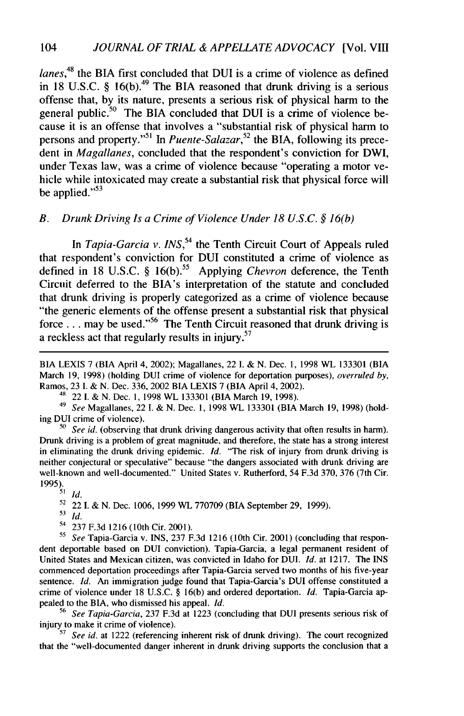*lanes,48* the BIA first concluded that DUI is a crime of violence as defined in 18 U.S.C.  $\frac{8}{16(b)}$ .<sup>49</sup> The BIA reasoned that drunk driving is a serious offense that, by its nature, presents a serious risk of physical harm to the general public.<sup>50</sup> The BIA concluded that DUI is a crime of violence because it is an offense that involves a "substantial risk of physical harm to persons and property."<sup>51</sup> In *Puente-Salazar*,<sup>52</sup> the BIA, following its precedent in *Magallanes,* concluded that the respondent's conviction for DWI, under Texas law, was a crime of violence because "operating a motor vehicle while intoxicated may create a substantial risk that physical force will be applied." $53$ 

#### *B. Drunk Driving Is a Crime of Violence Under 18 U.S.C. § 16(b)*

In *Tapia-Garcia v. INS,<sup>54</sup>*the Tenth Circuit Court of Appeals ruled that respondent's conviction for DUI constituted a crime of violence as defined in 18 U.S.C. § 16(b).<sup>55</sup> Applying *Chevron* deference, the Tenth Circuit deferred to the BIA's interpretation of the statute and concluded that drunk driving is properly categorized as a crime of violence because "the generic elements of the offense present a substantial risk that physical force... may be used."<sup>56</sup> The Tenth Circuit reasoned that drunk driving is **57** a reckless act that regularly results in injury.

49 *See* Magallanes, 22 I. & N. Dec. 1, 1998 WL 133301 (BIA March 19, 1998) (holding DUI crime of violence).

<sup>50</sup> *See id.* (observing that drunk driving dangerous activity that often results in harm). Drunk driving is a problem of great magnitude, and therefore, the state has a strong interest in eliminating the drunk driving epidemic. *Id.* "The risk of injury from drunk driving is neither conjectural or speculative" because "the dangers associated with drunk driving are well-known and well-documented." United States v. Rutherford, 54 F.3d 370, 376 (7th Cir. 1995). *51 id.*

<sup>52</sup>22 I. & N. Dec. 1006, 1999 WL 770709 (BIA September 29, 1999).

54 237 F.3d 1216 (10th Cir. 2001).

*55 See* Tapia-Garcia v. INS, 237 F.3d 1216 (10th Cir. 2001) (concluding that respondent deportable based on DUI conviction). Tapia-Garcia, a legal permanent resident of United States and Mexican citizen, was convicted in Idaho for DUI. *Id.* at 1217. The INS commenced deportation proceedings after Tapia-Garcia served two months of his five-year sentence. *Id.* An immigration judge found that Tapia-Garcia's DUI offense constituted a crime of violence under 18 U.S.C. § 16(b) and ordered deportation. *Id.* Tapia-Garcia appealed to the BIA, who dismissed his appeal. *Id.*

<sup>56</sup>*See Tapia-Garcia,* 237 F.3d at 1223 (concluding that DUI presents serious risk of injury to make it crime of violence).

**,7** *See id.* at 1222 (referencing inherent risk of drunk driving). The court recognized that the "well-documented danger inherent in drunk driving supports the conclusion that a

BIA LEXIS 7 (BIA April 4, 2002); Magallanes, 22 I. & N. Dec. 1, 1998 WL 133301 (BIA March 19, 1998) (holding DUI crime of violence for deportation purposes), *overruled by,* Ramos, 23 I. & N. Dec. 336, 2002 BIA LEXIS 7 (BIA April 4, 2002).

**<sup>48</sup>**22 **1.** & N. Dec. 1, 1998 WL 133301 (BIA March 19, 1998).

*<sup>53</sup>id.*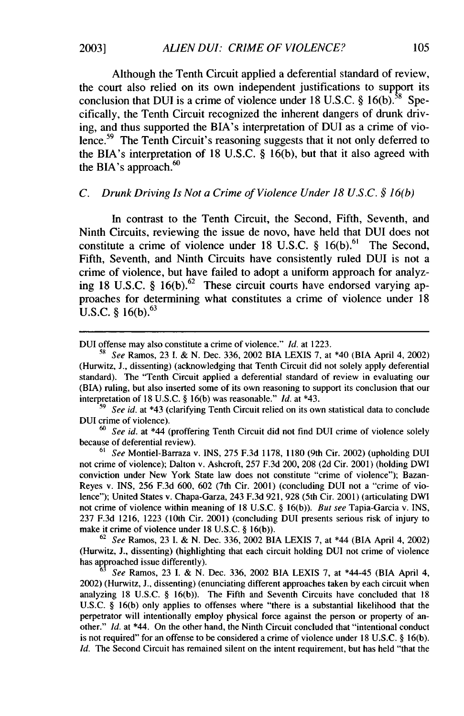**2003]**

Although the Tenth Circuit applied a deferential standard of review, the court also relied on its own independent justifications to support its conclusion that DUI is a crime of violence under 18 U.S.C.  $\S$  16(b).<sup>58</sup> Specifically, the Tenth Circuit recognized the inherent dangers of drunk driving, and thus supported the BIA's interpretation of DUI as a crime of violence.<sup>59</sup> The Tenth Circuit's reasoning suggests that it not only deferred to the BIA's interpretation of 18 U.S.C.  $\S$  16(b), but that it also agreed with the BIA's approach. $60$ 

#### *C. Drunk Driving Is Not a Crime of Violence Under 18 U.S.C. § 16(b)*

In contrast to the Tenth Circuit, the Second, Fifth, Seventh, and Ninth Circuits, reviewing the issue de novo, have held that DUI does not constitute a crime of violence under 18 U.S.C.  $\S$  16(b).<sup>61</sup> The Second, Fifth, Seventh, and Ninth Circuits have consistently ruled DUI is not a crime of violence, but have failed to adopt a uniform approach for analyzing 18 U.S.C. §  $16(b)$ .<sup>62</sup> These circuit courts have endorsed varying approaches for determining what constitutes a crime of violence under 18  $U.S.C.$  § 16(b). $^{63}$ 

*<sup>59</sup>See id.* at \*43 (clarifying Tenth Circuit relied on its own statistical data to conclude **DUI** crime of violence).

*<sup>60</sup>See id.* at \*44 (proffering Tenth Circuit did not find DUI crime of violence solely because of deferential review).

<sup>61</sup>*See* Montiel-Barraza v. INS, 275 F.3d 1178, 1180 (9th Cir. 2002) (upholding **DUI** not crime of violence); Dalton v. Ashcroft, 257 F.3d 200, 208 (2d Cir. 2001) (holding DWI conviction under New York State law does not constitute "crime of violence"); Bazan-Reyes v. INS, 256 F.3d 600, 602 (7th Cir. 2001) (concluding **DUI** not a "crime of violence"); United States v. Chapa-Garza, 243 F.3d 921, 928 (5th Cir. 2001) (articulating DWI not crime of violence within meaning of 18 U.S.C. § 16(b)). *But see* Tapia-Garcia v. INS, 237 F.3d 1216, 1223 (10th Cir. 2001) (concluding **DUI** presents serious risk of injury to make it crime of violence under 18 U.S.C. § 16(b)).

<sup>62</sup>*See* Ramos, 23 I. & N. Dec. 336, 2002 BIA LEXIS 7, at \*44 (BIA April 4, 2002) (Hurwitz, **J.,** dissenting) (highlighting that each circuit holding DUI not crime of violence has approached issue differently).

<sup>63</sup>*See* Ramos, 23 I. & N. Dec. 336, 2002 BIA LEXIS 7, at \*44-45 (BIA April 4, 2002) (Hurwitz, **J.,** dissenting) (enunciating different approaches taken by each circuit when analyzing 18 U.S.C.  $\S$  16(b)). The Fifth and Seventh Circuits have concluded that 18 U.S.C. § 16(b) only applies to offenses where "there is a substantial likelihood that the perpetrator will intentionally employ physical force against the person or property of another." *Id.* at \*44. On the other hand, the Ninth Circuit concluded that "intentional conduct is not required" for an offense to be considered a crime of violence under 18 U.S.C. § 16(b). *Id.* The Second Circuit has remained silent on the intent requirement, but has held "that the

DUI offense may also constitute a crime of violence." *Id.* at 1223.

**<sup>58</sup>***See* Ramos, 23 I. & N. Dec. 336, 2002 BIA LEXIS 7, at \*40 (BIA April 4, 2002) (Hurwitz, **J.,** dissenting) (acknowledging that Tenth Circuit did not solely apply deferential standard). The "Tenth Circuit applied a deferential standard of review in evaluating our (BIA) ruling, but also inserted some of its own reasoning to support its conclusion that our interpretation of 18 U.S.C. § 16(b) was reasonable." *Id.* at \*43.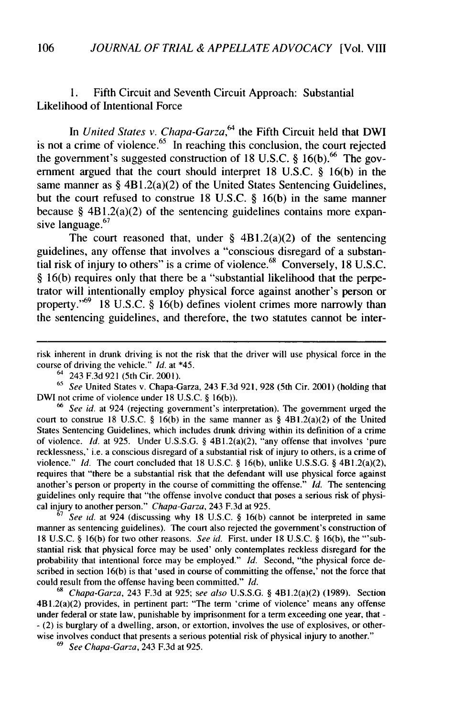# 1. Fifth Circuit and Seventh Circuit Approach: Substantial Likelihood of Intentional Force

In *United States v. Chapa-Garza*,<sup>64</sup> the Fifth Circuit held that DWI is not a crime of violence.<sup>65</sup> In reaching this conclusion, the court rejected the government's suggested construction of 18 U.S.C.  $\S$  16(b).<sup>66</sup> The government argued that the court should interpret 18 U.S.C. § 16(b) in the same manner as § 4B1.2(a)(2) of the United States Sentencing Guidelines, but the court refused to construe 18 U.S.C. § 16(b) in the same manner because  $\S$  4B1.2(a)(2) of the sentencing guidelines contains more expansive language. $67$ 

The court reasoned that, under  $\S$  4B1.2(a)(2) of the sentencing guidelines, any offense that involves a "conscious disregard of a substantial risk of injury to others" is a crime of violence.<sup>68</sup> Conversely, 18 U.S.C. § 16(b) requires only that there be a "substantial likelihood that the perpetrator will intentionally employ physical force against another's person or property."<sup>69</sup> 18 U.S.C. § 16(b) defines violent crimes more narrowly than the sentencing guidelines, and therefore, the two statutes cannot be inter-

risk inherent in drunk driving is not the risk that the driver will use physical force in the course of driving the vehicle." *Id.* at \*45.

**'** 243 F.3d 921 (5th Cir. 2001).

**<sup>65</sup>***See* United States v. Chapa-Garza, 243 F.3d 921, 928 (5th Cir. 2001) (holding that DWI not crime of violence under 18 U.S.C. § 16(b)).

*(6 See id.* at 924 (rejecting government's interpretation). The government urged the court to construe 18 U.S.C. § 16(b) in the same manner as §  $4B1.2(a)(2)$  of the United States Sentencing Guidelines, which includes drunk driving within its definition of a crime of violence. *Id.* at 925. Under U.S.S.G. § 4B1.2(a)(2), "any offense that involves 'pure recklessness,' i.e. a conscious disregard of a substantial risk of injury to others, is a crime of violence." *Id.* The court concluded that 18 U.S.C. § 16(b), unlike U.S.S.G. § 4B1.2(a)(2), requires that "there be a substantial risk that the defendant will use physical force against another's person or property in the course of committing the offense." *Id.* The sentencing guidelines only require that "the offense involve conduct that poses a serious risk of physical injury to another person." *Chapa-Garza,* 243 F.3d at 925.

**<sup>67</sup>***See id.* at 924 (discussing why 18 U.S.C. § 16(b) cannot be interpreted in same manner as sentencing guidelines). The court also rejected the government's construction of 18 U.S.C. § 16(b) for two other reasons. *See id.* First, under 18 U.S.C. § 16(b), the "'substantial risk that physical force may be used' only contemplates reckless disregard for the probability that intentional force may be employed." *Id.* Second, "the physical force described in section 16(b) is that 'used in course of committing the offense,' not the force that could result from the offense having been committed." *Id.*

<sup>68</sup>*Chapa-Garza,* 243 F.3d at 925; *see also* U.S.S.G. § 4B1.2(a)(2) (1989). Section 4B1.2(a)(2) provides, in pertinent part: "The term 'crime of violence' means any offense under federal or state law, punishable by imprisonment for a term exceeding one year, that - - (2) is burglary of a dwelling, arson, or extortion, involves the use of explosives, or otherwise involves conduct that presents a serious potential risk of physical injury to another."

69 *See Chapa-Garza,* 243 F.3d at 925.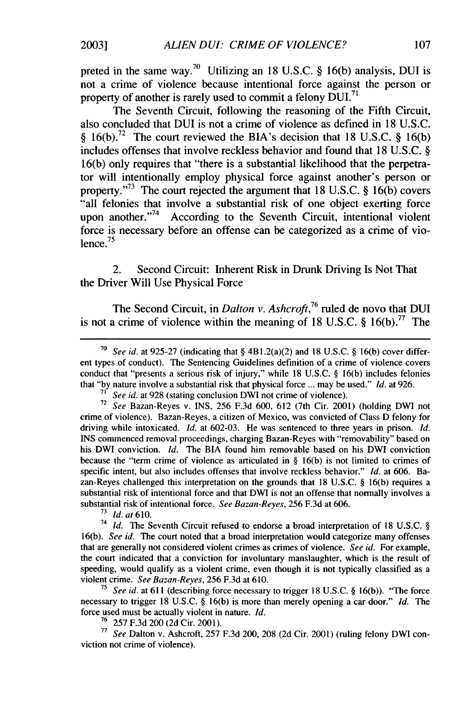preted in the same way.7° Utilizing an 18 U.S.C. § 16(b) analysis, **DUI** is not a crime of violence because intentional force against the person or property of another is rarely used to commit a felony  $DUI$ .<sup>7</sup>

The Seventh Circuit, following the reasoning of the Fifth Circuit, also concluded that DUI is not a crime of violence as defined in 18 U.S.C. § 16(b).<sup>72</sup> The court reviewed the BIA's decision that 18 U.S.C. § 16(b) includes offenses that involve reckless behavior and found that 18 U.S.C. § 16(b) only requires that "there is a substantial likelihood that the perpetrator will intentionally employ physical force against another's person or property. $173$  The court rejected the argument that 18 U.S.C. § 16(b) covers "all felonies that involve a substantial risk of one object exerting force upon another. $174$  According to the Seventh Circuit, intentional violent force is necessary before an offense can be categorized as a crime of violence. $75$ 

2. Second Circuit: Inherent Risk in Drunk Driving Is Not That the Driver Will Use Physical Force

The Second Circuit, in *Dalton v. Ashcroft,76* ruled de novo that DUI is not a crime of violence within the meaning of 18 U.S.C. § 16(b).<sup>77</sup> The

**<sup>73</sup>***Id. at 610.*

<sup>74</sup>*Id.* The Seventh Circuit refused to endorse a broad interpretation of 18 U.S.C. § 16(b). *See id.* The court noted that a broad interpretation would categorize many offenses that are generally not considered violent crimes as crimes of violence. *See id.* For example, the court indicated that a conviction for involuntary manslaughter, which is the result of speeding, would qualify as a violent crime, even though it is not typically classified as a violent crime. *See Bazan-Reyes,* 256 F.3d at 610.

**<sup>75</sup>***See id.* at 611 (describing force necessary to trigger 18 U.S.C. § 16(b)). "The force necessary to trigger 18 U.S.C. § 16(b) is more than merely opening a car door." *Id.* The force used must be actually violent in nature. *Id.*

 $76$  257 F.3d 200 (2d Cir. 2001).

**77** *See* Dalton v. Ashcroft, 257 F.3d 200, 208 (2d Cir. 2001) (ruling felony DWI conviction not crime of violence).

<sup>&</sup>lt;sup>70</sup> *See id.* at 925-27 (indicating that  $\S$  4B1.2(a)(2) and 18 U.S.C.  $\S$  16(b) cover different types of conduct). The Sentencing Guidelines definition of a crime of violence covers conduct that "presents a serious risk of injury," while 18 U.S.C. § 16(b) includes felonies that "by nature involve a substantial risk that physical force ... may be used." *Id.* at 926.

*<sup>71</sup>See id.* at 928 (stating conclusion DWI not crime of violence).

<sup>72</sup>*See* Bazan-Reyes v. INS, 256 F.3d 600, 612 (7th Cir. 2001) (holding DWI not crime of violence). Bazan-Reyes, a citizen of Mexico, was convicted of Class D felony for driving while intoxicated. *Id.* at 602-03. He was sentenced to three years in prison. *Id.* INS commenced removal proceedings, charging Bazan-Reyes with "removability" based on his DWI conviction. *Id.* The BIA found him removable based on his DWI conviction because the "term crime of violence as articulated in § 16(b) is not limited to crimes of specific intent, but also includes offenses that involve reckless behavior." *Id.* at 606. Bazan-Reyes challenged this interpretation on the grounds that 18 U.S.C. § 16(b) requires a substantial risk of intentional force and that DWI is not an offense that normally involves a substantial risk of intentional force. *See Bazan-Reyes,* 256 F.3d at 606.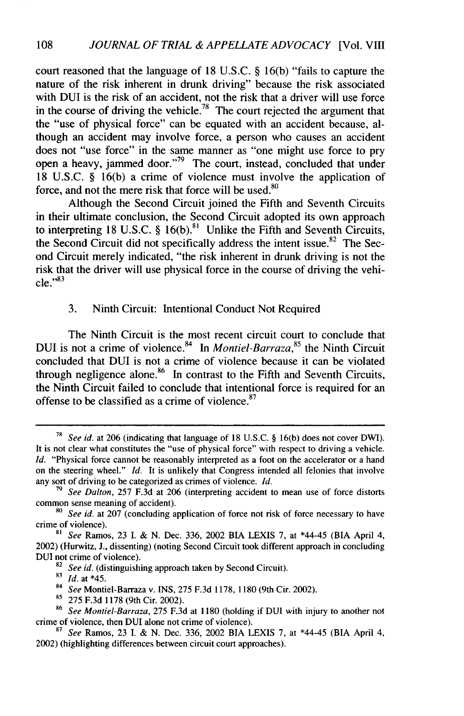court reasoned that the language of 18 U.S.C. § 16(b) "fails to capture the nature of the risk inherent in drunk driving" because the risk associated with DUI is the risk of an accident, not the risk that a driver will use force in the course of driving the vehicle.<sup>78</sup> The court rejected the argument that the "use of physical force" can be equated with an accident because, although an accident may involve force, a person who causes an accident does not "use force" in the same manner as "one might use force to pry open a heavy, jammed door."79 The court, instead, concluded that under 18 U.S.C. § 16(b) a crime of violence must involve the application of force, and not the mere risk that force will be used.<sup>80</sup>

Although the Second Circuit joined the Fifth and Seventh Circuits in their ultimate conclusion, the Second Circuit adopted its own approach to interpreting 18 U.S.C.  $\S$  16(b).<sup>81</sup> Unlike the Fifth and Seventh Circuits, the Second Circuit did not specifically address the intent issue.<sup>82</sup> The Second Circuit merely indicated, "the risk inherent in drunk driving is not the risk that the driver will use physical force in the course of driving the vehi $cle. "83$ 

## 3. Ninth Circuit: Intentional Conduct Not Required

The Ninth Circuit is the most recent circuit court to conclude that DUI is not a crime of violence. <sup>84</sup>In *Montiel-Barraza,85* the Ninth Circuit concluded that DUI is not a crime of violence because it can be violated through negligence alone.<sup>86</sup> In contrast to the Fifth and Seventh Circuits, the Ninth Circuit failed to conclude that intentional force is required for an offense to be classified as a crime of violence. $87$ 

<sup>82</sup> See id. (distinguishing approach taken by Second Circuit).

*<sup>78</sup>See id.* at 206 (indicating that language of 18 U.S.C. § 16(b) does not cover DWI). It is not clear what constitutes the "use of physical force" with respect to driving a vehicle. *Id.* "Physical force cannot be reasonably interpreted as a foot on the accelerator or a hand on the steering wheel." *Id.* It is unlikely that Congress intended all felonies that involve any sort of driving to be categorized as crimes of violence. *Id.*

**<sup>79</sup>***See Dalton,* 257 F.3d at 206 (interpreting accident to mean use of force distorts common sense meaning of accident).

*<sup>80</sup>See id.* at 207 (concluding application of force not risk of force necessary to have crime of violence).

**<sup>81</sup>***See* Ramos, 23 I. & N. Dec. 336, 2002 BIA LEXIS 7, at \*44-45 (BIA April 4, 2002) (Hurwitz, J., dissenting) (noting Second Circuit took different approach in concluding DUI not crime of violence).

**<sup>&</sup>quot;** *Id.* at \*45.

**<sup>84</sup>***See* Montiel-Barraza v. INS, 275 F.3d 1178, 1180 (9th Cir. 2002).

**<sup>8&#</sup>x27;** 275 F.3d 1178 (9th Cir. 2002).

**<sup>86</sup>***See Montiel-Barraza,* 275 F.3d at 1180 (holding if DUI with injury to another not crime of violence, then **DUI** alone not crime of violence).

**<sup>87</sup>***See* Ramos, 23 I. & N. Dec. 336, 2002 BIA LEXIS 7, at \*44-45 (BIA April 4, 2002) (highlighting differences between circuit court approaches).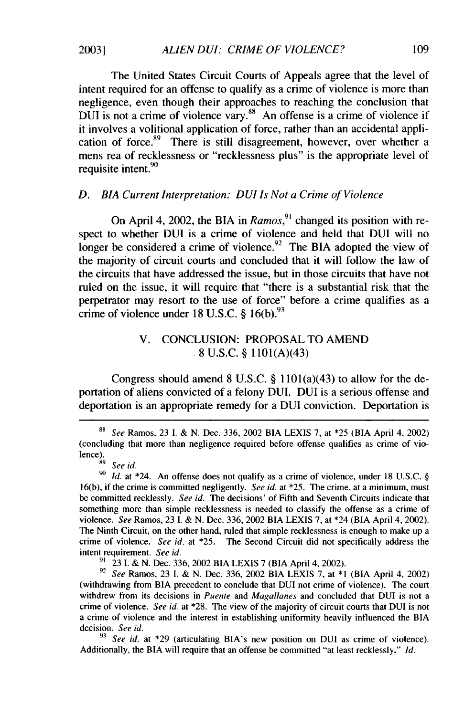The United States Circuit Courts of Appeals agree that the level of intent required for an offense to qualify as a crime of violence is more than negligence, even though their approaches to reaching the conclusion that **DUI** is not a crime of violence vary.88 An offense is a crime of violence if it involves a volitional application of force, rather than an accidental application of force.<sup>89</sup> There is still disagreement, however, over whether a mens rea of recklessness or "recklessness plus" is the appropriate level of requisite intent.<sup>90</sup>

#### *D. BIA Current Interpretation: DUI Is Not a Crime of Violence*

On April 4, 2002, the BIA in *Ramos*,<sup>91</sup> changed its position with respect to whether **DUI** is a crime of violence and held that **DUI** will no longer be considered a crime of violence.<sup>92</sup> The BIA adopted the view of the majority of circuit courts and concluded that it will follow the law of the circuits that have addressed the issue, but in those circuits that have not ruled on the issue, it will require that "there is a substantial risk that the perpetrator may resort to the use of force" before a crime qualifies as a crime of violence under **18 U.S.C. § 16(b).<sup>93</sup>**

# V. **CONCLUSION:** PROPOSAL TO **AMEND 8 U.S.C. § 1** 101(A)(43)

Congress should amend **8 U.S.C. § 1** 101(a)(43) to allow for the deportation of aliens convicted of a felony **DUI. DUI** is a serious offense and deportation is an appropriate remedy for a **DUI** conviction. Deportation is

*<sup>89</sup>See* Ramos, **23 I. & N.** Dec. **336,** 2002 BIA **LEXIS 7,** at **\*25** (BIA April 4, 2002) (concluding that more than negligence required before offense qualifies as crime of violence).

*9 See id.*

*90 Id.* at \*24. An offense does not qualify as a crime of violence, under **18 U.S.C. § 16(b),** if the crime is committed negligently. *See id.* at **\*25.** The crime, at a minimum, must be committed recklessly. *See id.* The decisions' of Fifth and Seventh Circuits indicate that something more than simple recklessness is needed to classify the offense as a crime of violence. *See* Ramos, **23 I. & N.** Dec. **336,** 2002 BIA **LEXIS 7,** at \*24 (BIA April 4, 2002). The Ninth Circuit, on the other hand, ruled that simple recklessness is enough to make up a crime of violence. *See id.* at **\*25.** The Second Circuit did not specifically address the intent requirement. *See id.*

**9' 23 I. & N.** Dec. **336, 2002** BIA LEXIS **7** (BIA April 4, 2002).

**<sup>92</sup>***See* Ramos, **23 I. & N.** Dec. **336,** 2002 BIA **LEXIS 7,** at **\*1** (BIA April 4, 2002) (withdrawing from BIA precedent to conclude that DUI not crime of violence). The court withdrew from its decisions in *Puente and Magallanes* and concluded that **DUI** is not a crime of violence. *See id.* at **\*28.** The view of the majority of circuit courts that DUI is not a crime of violence and the interest in establishing uniformity heavily influenced the BIA decision. *See id.*

*<sup>93</sup>See id.* at **\*29** (articulating BIA's new position on **DUI** as crime of violence). Additionally, the BIA will require that an offense be committed "at least recklessly." *Id.*

**20031**